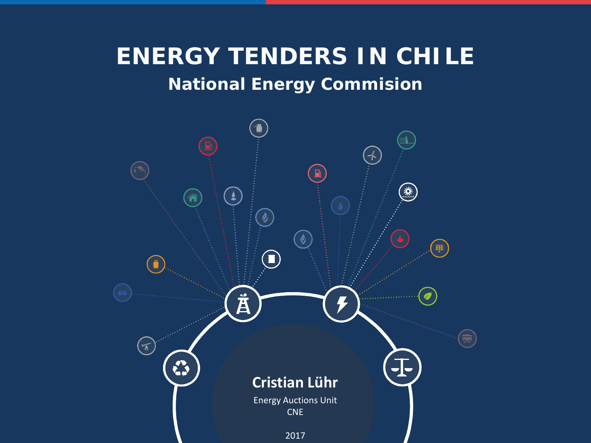### **National Energy Commision ENERGY TENDERS IN CHILE**

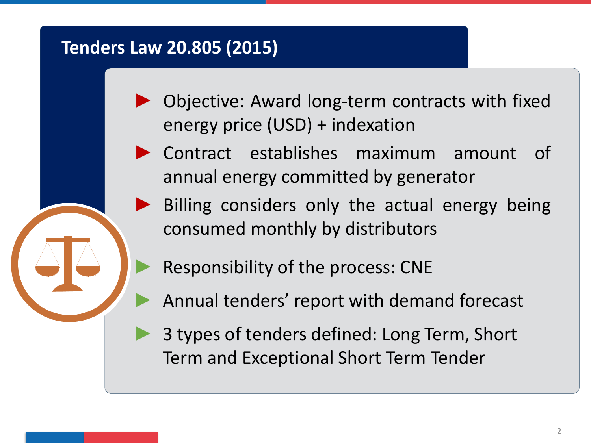### **Tenders Law 20.805 (2015)**

- Objective: Award long-term contracts with fixed energy price (USD) + indexation
- ► Contract establishes maximum amount of annual energy committed by generator
	- Billing considers only the actual energy being consumed monthly by distributors
		- Responsibility of the process: CNE
	- Annual tenders' report with demand forecast
	- 3 types of tenders defined: Long Term, Short Term and Exceptional Short Term Tender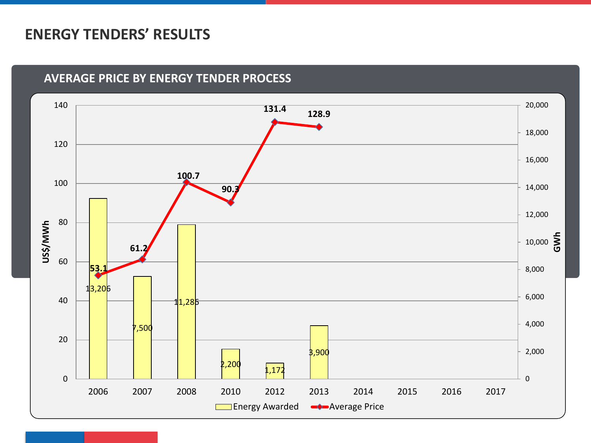#### **ENERGY TENDERS' RESULTS**

#### **AVERAGE PRICE BY ENERGY TENDER PROCESS**

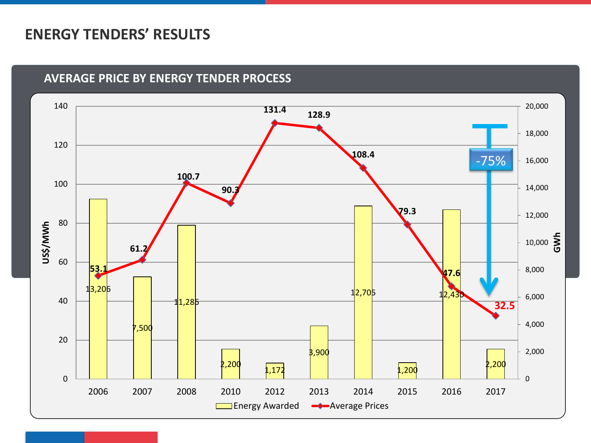### **ENERGY TENDERS' RESULTS**

#### **AVERAGE PRICE BY ENERGY TENDER PROCESS**

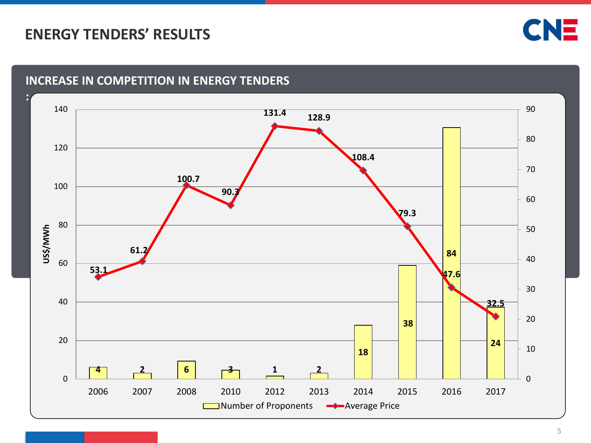### **ENERGY TENDERS' RESULTS**



#### **INCREASE IN COMPETITION IN ENERGY TENDERS**

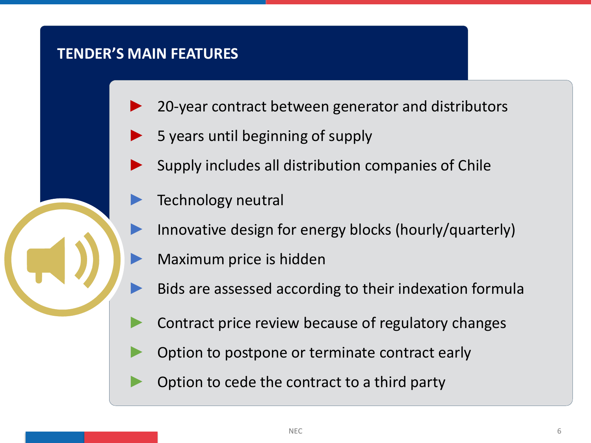#### **TENDER'S MAIN FEATURES**

- 20-year contract between generator and distributors
- 5 years until beginning of supply
- Supply includes all distribution companies of Chile
- Technology neutral
- Innovative design for energy blocks (hourly/quarterly)
- Maximum price is hidden
- Bids are assessed according to their indexation formula
- Contract price review because of regulatory changes
- Option to postpone or terminate contract early
- Option to cede the contract to a third party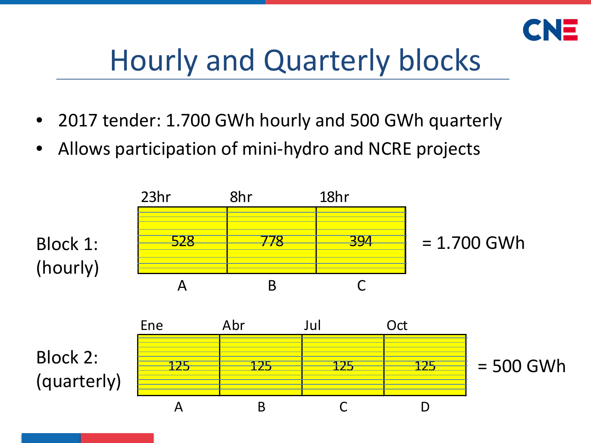

# Hourly and Quarterly blocks

- 2017 tender: 1.700 GWh hourly and 500 GWh quarterly
- Allows participation of mini-hydro and NCRE projects

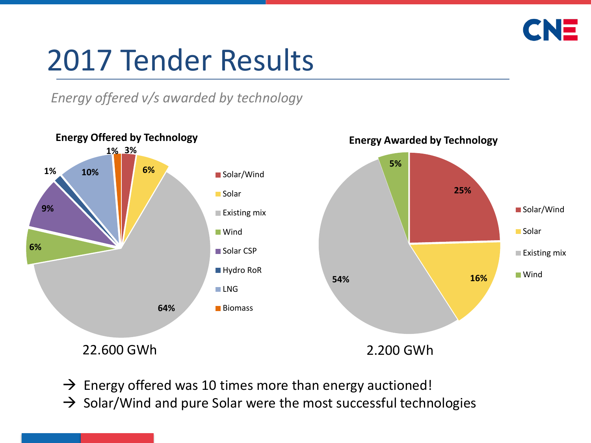

# 2017 Tender Results

*Energy offered v/s awarded by technology*



- $\rightarrow$  Energy offered was 10 times more than energy auctioned!
- $\rightarrow$  Solar/Wind and pure Solar were the most successful technologies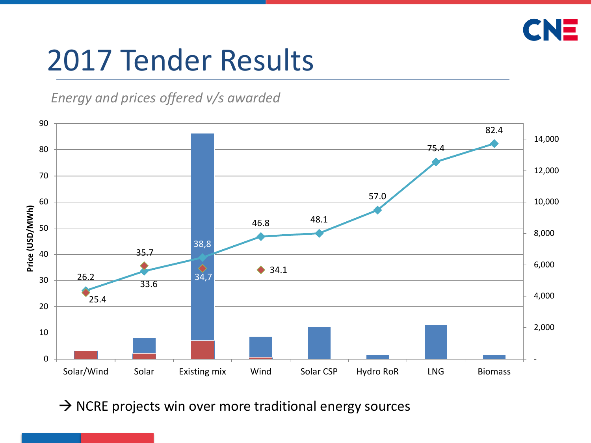

# 2017 Tender Results

*Energy and prices offered v/s awarded*



 $\rightarrow$  NCRE projects win over more traditional energy sources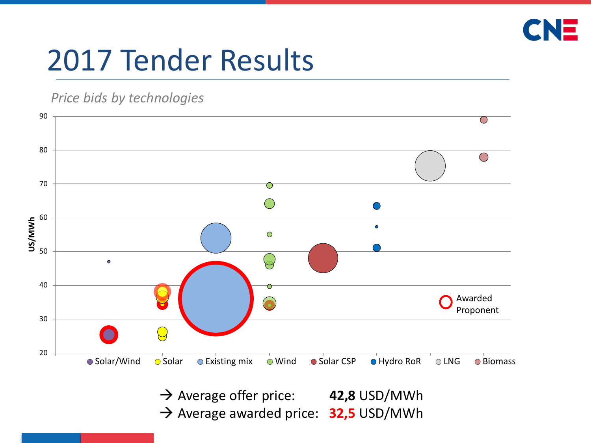

# 2017 Tender Results

#### *Price bids by technologies*



→ Average offer price: 42,8 USD/MWh → Average awarded price: 32,5 USD/MWh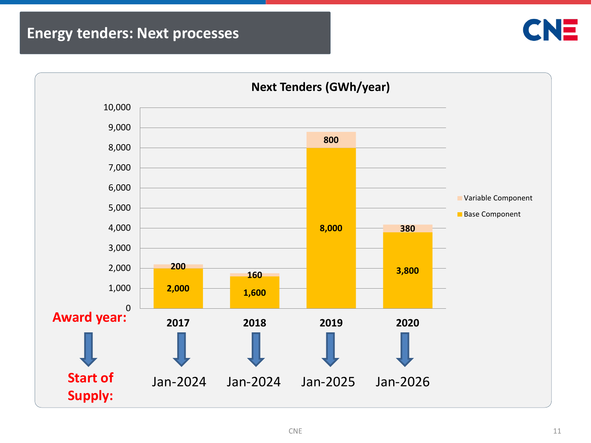### **Energy tenders: Next processes**